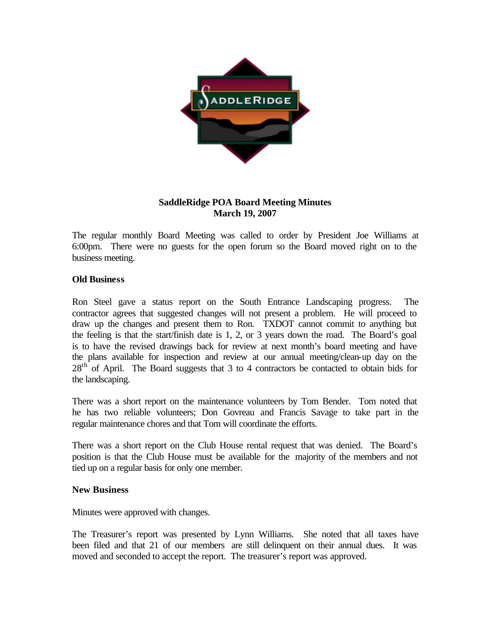

## **SaddleRidge POA Board Meeting Minutes March 19, 2007**

The regular monthly Board Meeting was called to order by President Joe Williams at 6:00pm. There were no guests for the open forum so the Board moved right on to the business meeting.

## **Old Business**

Ron Steel gave a status report on the South Entrance Landscaping progress. The contractor agrees that suggested changes will not present a problem. He will proceed to draw up the changes and present them to Ron. TXDOT cannot commit to anything but the feeling is that the start/finish date is 1, 2, or 3 years down the road. The Board's goal is to have the revised drawings back for review at next month's board meeting and have the plans available for inspection and review at our annual meeting/clean-up day on the  $28<sup>th</sup>$  of April. The Board suggests that 3 to 4 contractors be contacted to obtain bids for the landscaping.

There was a short report on the maintenance volunteers by Tom Bender. Tom noted that he has two reliable volunteers; Don Govreau and Francis Savage to take part in the regular maintenance chores and that Tom will coordinate the efforts.

There was a short report on the Club House rental request that was denied. The Board's position is that the Club House must be available for the majority of the members and not tied up on a regular basis for only one member.

## **New Business**

Minutes were approved with changes.

The Treasurer's report was presented by Lynn Williams. She noted that all taxes have been filed and that 21 of our members are still delinquent on their annual dues. It was moved and seconded to accept the report. The treasurer's report was approved.